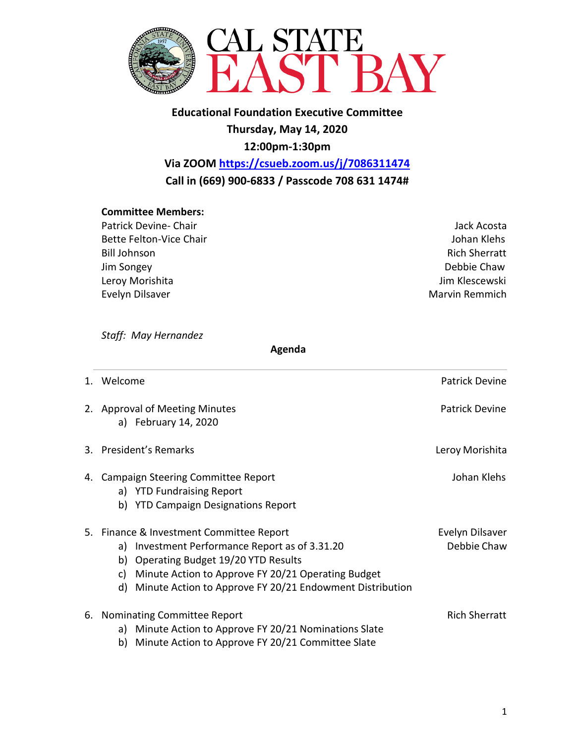

**Educational Foundation Executive Committee Thursday, May 14, 2020 12:00pm-1:30pm**

**Via ZOOM <https://csueb.zoom.us/j/7086311474> Call in (669) 900-6833 / Passcode 708 631 1474#**

## **Committee Members:**

Patrick Devine- Chair **Jack Acosta** Jack Acosta Bette Felton-Vice Chair **Galacter Chair** According to the United States of the United States of the United States Bill Johnson **Rich Sherratt** Jim Songey Debbie Chaw Leroy Morishita **Jim Klescewski** Evelyn Dilsaver **Marvin Remmich Evelyn Dilsaver** Marvin Remmich

*Staff: May Hernandez* 

 **Agenda**

| Welcome                                                                                                                                                                                                                                                           | <b>Patrick Devine</b>          |
|-------------------------------------------------------------------------------------------------------------------------------------------------------------------------------------------------------------------------------------------------------------------|--------------------------------|
| 2. Approval of Meeting Minutes<br>a) February 14, 2020                                                                                                                                                                                                            | <b>Patrick Devine</b>          |
| 3. President's Remarks                                                                                                                                                                                                                                            | Leroy Morishita                |
| 4. Campaign Steering Committee Report<br>a) YTD Fundraising Report<br><b>YTD Campaign Designations Report</b><br>b)                                                                                                                                               | Johan Klehs                    |
| 5. Finance & Investment Committee Report<br>a) Investment Performance Report as of 3.31.20<br>b) Operating Budget 19/20 YTD Results<br>Minute Action to Approve FY 20/21 Operating Budget<br>C)<br>Minute Action to Approve FY 20/21 Endowment Distribution<br>d) | Evelyn Dilsaver<br>Debbie Chaw |
| 6. Nominating Committee Report<br>a) Minute Action to Approve FY 20/21 Nominations Slate<br>b) Minute Action to Approve FY 20/21 Committee Slate                                                                                                                  | <b>Rich Sherratt</b>           |